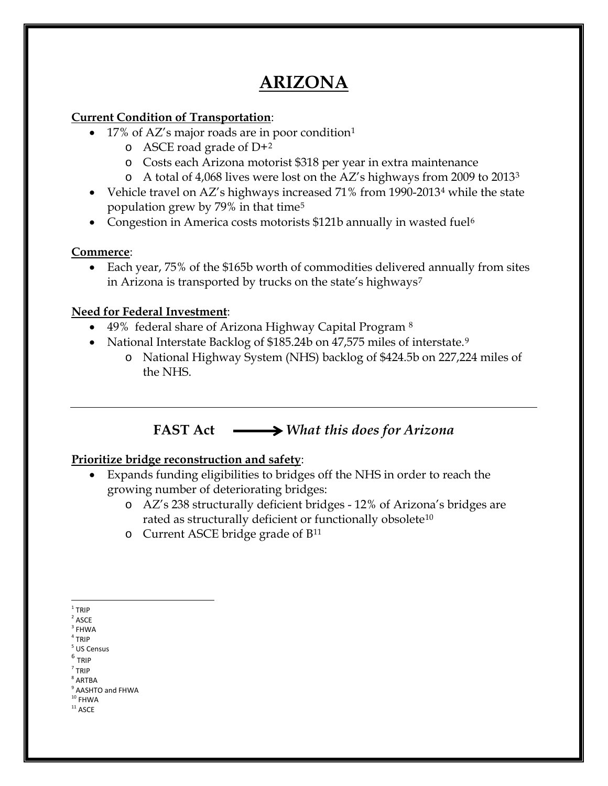# **ARIZONA**

### **Current Condition of Transportation**:

- [1](#page-0-0)7% of AZ's major roads are in poor condition<sup>1</sup>
	- $\circ$  ASCE road grade of D+[2](#page-0-1)
	- o Costs each Arizona motorist \$318 per year in extra maintenance
	- o A total of 4,068 lives were lost on the AZ's highways from 2009 to 2013[3](#page-0-2)
- Vehicle travel on AZ's highways increased 71% from 1990-2013<sup>[4](#page-0-3)</sup> while the state population grew by 79% in that time[5](#page-0-4)
- Congestion in America costs motorists \$121b annually in wasted fuel<sup>[6](#page-0-5)</sup>

### **Commerce**:

• Each year, 75% of the \$165b worth of commodities delivered annually from sites in Arizona is transported by trucks on the state's highways<sup>[7](#page-0-6)</sup>

### **Need for Federal Investment**:

- 49% federal share of Arizona Highway Capital Program [8](#page-0-7)
- National Interstate Backlog of \$185.24b on 47,575 miles of interstate.<sup>[9](#page-0-8)</sup>
	- o National Highway System (NHS) backlog of \$424.5b on 227,224 miles of the NHS.

## **FAST Act** *What this does for Arizona*

### **Prioritize bridge reconstruction and safety**:

- Expands funding eligibilities to bridges off the NHS in order to reach the growing number of deteriorating bridges:
	- o AZ's 238 structurally deficient bridges 12% of Arizona's bridges are rated as structurally deficient or functionally obsolete<sup>[10](#page-0-9)</sup>
	- o Current ASCE bridge grade of B[11](#page-0-10)

- <sup>4</sup> TRIP US Census
- <span id="page-0-5"></span><span id="page-0-4"></span><span id="page-0-3"></span> $^6$  TRIP
- $<sup>7</sup>$  TRIP</sup>

<span id="page-0-7"></span><span id="page-0-6"></span> $8$  ARTBA

<span id="page-0-10"></span><span id="page-0-9"></span><span id="page-0-8"></span> $10$  FHWA  $^{\rm 11}$  ASCE

 $1$  TRIP

<span id="page-0-2"></span><span id="page-0-1"></span><span id="page-0-0"></span> $^{\rm 2}$  ASCE

**FHWA** 

<sup>&</sup>lt;sup>9</sup> AASHTO and FHWA